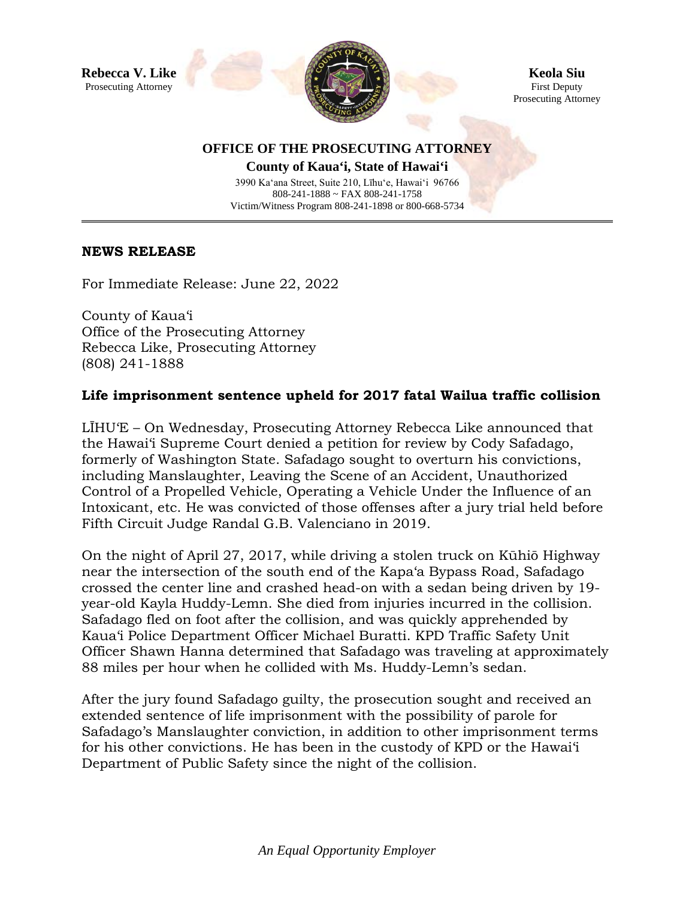

**Keola Siu** First Deputy Prosecuting Attorney

## **OFFICE OF THE PROSECUTING ATTORNEY**

**County of Kaua'i, State of Hawai'i** 3990 Ka'ana Street, Suite 210, Līhu'e, Hawai'i 96766 808-241-1888 ~ FAX 808-241-1758 Victim/Witness Program 808-241-1898 or 800-668-5734

## **NEWS RELEASE**

For Immediate Release: June 22, 2022

County of Kaua'i Office of the Prosecuting Attorney Rebecca Like, Prosecuting Attorney (808) 241-1888

## **Life imprisonment sentence upheld for 2017 fatal Wailua traffic collision**

LĪHU'E – On Wednesday, Prosecuting Attorney Rebecca Like announced that the Hawai'i Supreme Court denied a petition for review by Cody Safadago, formerly of Washington State. Safadago sought to overturn his convictions, including Manslaughter, Leaving the Scene of an Accident, Unauthorized Control of a Propelled Vehicle, Operating a Vehicle Under the Influence of an Intoxicant, etc. He was convicted of those offenses after a jury trial held before Fifth Circuit Judge Randal G.B. Valenciano in 2019.

On the night of April 27, 2017, while driving a stolen truck on Kūhiō Highway near the intersection of the south end of the Kapa'a Bypass Road, Safadago crossed the center line and crashed head-on with a sedan being driven by 19 year-old Kayla Huddy-Lemn. She died from injuries incurred in the collision. Safadago fled on foot after the collision, and was quickly apprehended by Kaua'i Police Department Officer Michael Buratti. KPD Traffic Safety Unit Officer Shawn Hanna determined that Safadago was traveling at approximately 88 miles per hour when he collided with Ms. Huddy-Lemn's sedan.

After the jury found Safadago guilty, the prosecution sought and received an extended sentence of life imprisonment with the possibility of parole for Safadago's Manslaughter conviction, in addition to other imprisonment terms for his other convictions. He has been in the custody of KPD or the Hawai'i Department of Public Safety since the night of the collision.